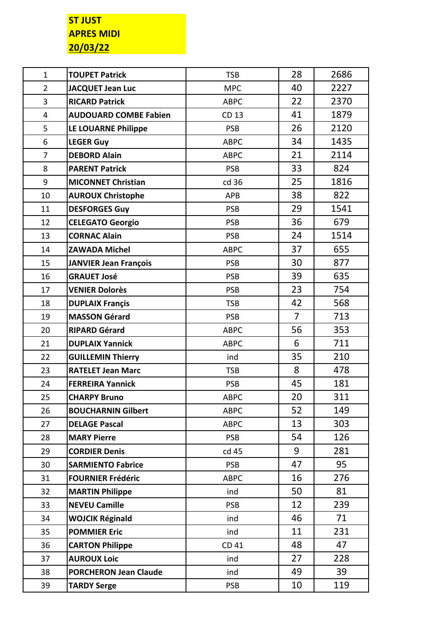## **ST JUST APRES MIDI 20/03/22**

| $\mathbf{1}$   | <b>TOUPET Patrick</b>        | <b>TSB</b>  | 28             | 2686 |
|----------------|------------------------------|-------------|----------------|------|
| $\overline{2}$ | <b>JACQUET Jean Luc</b>      | <b>MPC</b>  | 40             | 2227 |
| 3              | <b>RICARD Patrick</b>        | <b>ABPC</b> | 22             | 2370 |
| 4              | <b>AUDOUARD COMBE Fabien</b> | CD 13       | 41             | 1879 |
| 5              | LE LOUARNE Philippe          | <b>PSB</b>  | 26             | 2120 |
| 6              | <b>LEGER Guy</b>             | <b>ABPC</b> | 34             | 1435 |
| $\overline{7}$ | <b>DEBORD Alain</b>          | <b>ABPC</b> | 21             | 2114 |
| 8              | <b>PARENT Patrick</b>        | <b>PSB</b>  | 33             | 824  |
| 9              | <b>MICONNET Christian</b>    | cd 36       | 25             | 1816 |
| 10             | <b>AUROUX Christophe</b>     | <b>APB</b>  | 38             | 822  |
| 11             | <b>DESFORGES Guy</b>         | <b>PSB</b>  | 29             | 1541 |
| 12             | <b>CELEGATO Georgio</b>      | <b>PSB</b>  | 36             | 679  |
| 13             | <b>CORNAC Alain</b>          | <b>PSB</b>  | 24             | 1514 |
| 14             | <b>ZAWADA Michel</b>         | <b>ABPC</b> | 37             | 655  |
| 15             | <b>JANVIER Jean François</b> | <b>PSB</b>  | 30             | 877  |
| 16             | <b>GRAUET José</b>           | <b>PSB</b>  | 39             | 635  |
| 17             | <b>VENIER Dolorès</b>        | <b>PSB</b>  | 23             | 754  |
| 18             | <b>DUPLAIX Françis</b>       | <b>TSB</b>  | 42             | 568  |
| 19             | <b>MASSON Gérard</b>         | <b>PSB</b>  | $\overline{7}$ | 713  |
| 20             | <b>RIPARD Gérard</b>         | <b>ABPC</b> | 56             | 353  |
| 21             | <b>DUPLAIX Yannick</b>       | <b>ABPC</b> | 6              | 711  |
| 22             | <b>GUILLEMIN Thierry</b>     | ind         | 35             | 210  |
| 23             | <b>RATELET Jean Marc</b>     | <b>TSB</b>  | 8              | 478  |
| 24             | <b>FERREIRA Yannick</b>      | <b>PSB</b>  | 45             | 181  |
| 25             | <b>CHARPY Bruno</b>          | <b>ABPC</b> | 20             | 311  |
| 26             | <b>BOUCHARNIN Gilbert</b>    | <b>ABPC</b> | 52             | 149  |
| 27             | <b>DELAGE Pascal</b>         | <b>ABPC</b> | 13             | 303  |
| 28             | <b>MARY Pierre</b>           | <b>PSB</b>  | 54             | 126  |
| 29             | <b>CORDIER Denis</b>         | cd 45       | 9              | 281  |
| 30             | <b>SARMIENTO Fabrice</b>     | <b>PSB</b>  | 47             | 95   |
| 31             | <b>FOURNIER Frédéric</b>     | <b>ABPC</b> | 16             | 276  |
| 32             | <b>MARTIN Philippe</b>       | ind         | 50             | 81   |
| 33             | <b>NEVEU Camille</b>         | <b>PSB</b>  | 12             | 239  |
| 34             | <b>WOJCIK Réginald</b>       | ind         | 46             | 71   |
| 35             | <b>POMMIER Eric</b>          | ind         | 11             | 231  |
| 36             | <b>CARTON Philippe</b>       | CD 41       | 48             | 47   |
| 37             | <b>AUROUX Loic</b>           | ind         | 27             | 228  |
| 38             | <b>PORCHERON Jean Claude</b> | ind         | 49             | 39   |
| 39             | <b>TARDY Serge</b>           | <b>PSB</b>  | 10             | 119  |